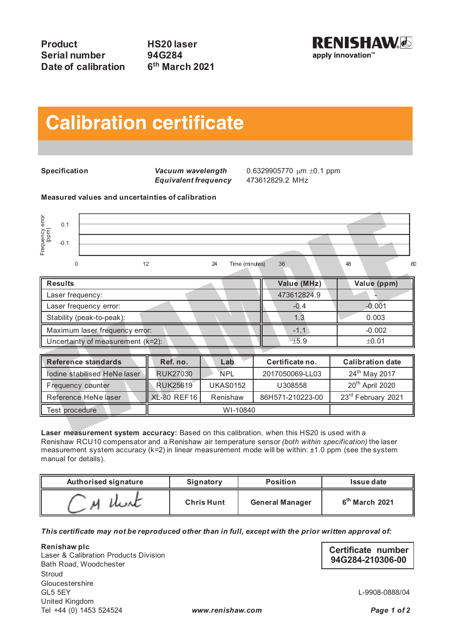

## **Calibration certificate Calibration certificate**

 $E$ quivalent frequency

**Specification** *Vacuum wavelength* 0.6329905770  $\mu$ m ±0.1 ppm<br>**Equivalent frequency** 473612829.2 MHz

**Measured values and uncertainties of calibration**



| Frequency error<br>(ppm)<br>0.1<br>$-0.1$                                                   |                    |                      |                  |                             |
|---------------------------------------------------------------------------------------------|--------------------|----------------------|------------------|-----------------------------|
| 12<br>$\Omega$                                                                              |                    | 24<br>Time (minutes) | 36               | 60<br>48                    |
| <b>Results</b>                                                                              |                    |                      | Value (MHz)      | Value (ppm)                 |
| Laser frequency:                                                                            |                    |                      | 473612824.9      |                             |
| Laser frequency error:                                                                      |                    |                      | $-0.4$           | $-0.001$                    |
| Stability (peak-to-peak):                                                                   |                    |                      | 1.3              | 0.003                       |
| Maximum laser frequency error:                                                              |                    |                      | $-1.1$           | $-0.002$                    |
| Uncertainty of measurement (k=2):                                                           |                    |                      | ±5.9             | ±0.01                       |
|                                                                                             |                    |                      |                  |                             |
| <b>Reference standards</b>                                                                  | Ref. no.           | Lab                  | Certificate no.  | <b>Calibration date</b>     |
| lodine stabilised HeNe laser                                                                | <b>RUK27030</b>    | <b>NPL</b>           | 2017050069-LL03  | 24 <sup>th</sup> May 2017   |
| Frequency counter                                                                           | <b>RUK25619</b>    | <b>UKAS0152</b>      | U308558          | 20 <sup>th</sup> April 2020 |
| Reference HeNe laser                                                                        | <b>XL-80 REF16</b> | Renishaw             | 86H571-210223-00 | 23rd February 2021          |
| Test procedure                                                                              | WI-10840           |                      |                  |                             |
| I gear maggizement system accuracy: Based on this calibration when this HS20 is used with a |                    |                      |                  |                             |

| Iodine stabilised HeNe laser | <b>RUK27030</b>    | <b>NPL</b>      | 2017050069-LL03  | 24 <sup>th</sup> May 2017      |
|------------------------------|--------------------|-----------------|------------------|--------------------------------|
| Frequency counter            | <b>RUK25619</b>    | <b>UKAS0152</b> | U308558          | 20 <sup>th</sup> April 2020    |
| Reference HeNe laser         | <b>XL-80 REF16</b> | Renishaw        | 86H571-210223-00 | 23 <sup>rd</sup> February 2021 |
| Test procedure               | WI-10840           |                 |                  |                                |

**Laser measurement system accuracy:** Based on this calibration, when this HS20 is used with a Renishaw RCU10 compensator and a Renishaw air temperature sensor *(both within specification)* the laser measurement system accuracy (k=2) in linear measurement mode will be within: ±1.0 ppm (see the system manual for details).

| Authorised signature | Signatory         | <b>Position</b>        | Issue date       |
|----------------------|-------------------|------------------------|------------------|
|                      | <b>Chris Hunt</b> | <b>General Manager</b> | $6th$ March 2021 |

*This certificate may not be reproduced other than in full, except with the prior written approval of:*

**Renishaw plc**<br>
Laser & Calibration Products Division<br> **Certificate number**<br> **Certificate number**<br> **94G284-210306-00 94G284-210306-00** Laser & Calibration Products Division Bath Road, Woodchester Stroud Gloucestershire<br>GL5 5EY United Kingdom Tel +44 (0) 1453 524524 *www.renishaw.com Page 1 of 22*

L-9908-0888/04